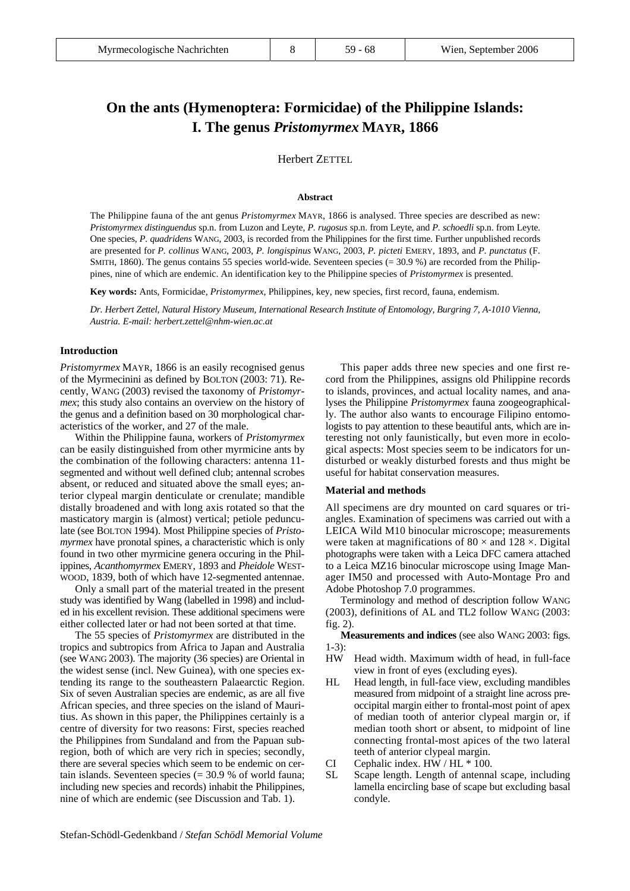# **On the ants (Hymenoptera: Formicidae) of the Philippine Islands: I. The genus** *Pristomyrmex* **MAYR, 1866**

Herbert ZETTEL

#### **Abstract**

The Philippine fauna of the ant genus *Pristomyrmex* MAYR, 1866 is analysed. Three species are described as new: *Pristomyrmex distinguendus* sp.n. from Luzon and Leyte, *P. rugosus* sp.n. from Leyte, and *P. schoedli* sp.n. from Leyte. One species, *P. quadridens* WANG, 2003, is recorded from the Philippines for the first time. Further unpublished records are presented for *P. collinus* WANG, 2003, *P. longispinus* WANG, 2003, *P. picteti* EMERY, 1893, and *P. punctatus* (F. SMITH, 1860). The genus contains 55 species world-wide. Seventeen species (= 30.9 %) are recorded from the Philippines, nine of which are endemic. An identification key to the Philippine species of *Pristomyrmex* is presented.

**Key words:** Ants, Formicidae, *Pristomyrmex*, Philippines, key, new species, first record, fauna, endemism.

*Dr. Herbert Zettel, Natural History Museum, International Research Institute of Entomology, Burgring 7, A-1010 Vienna, Austria. E-mail: herbert.zettel@nhm-wien.ac.at*

## **Introduction**

*Pristomyrmex* MAYR, 1866 is an easily recognised genus of the Myrmecinini as defined by BOLTON (2003: 71). Recently, WANG (2003) revised the taxonomy of *Pristomyrmex*; this study also contains an overview on the history of the genus and a definition based on 30 morphological characteristics of the worker, and 27 of the male.

Within the Philippine fauna, workers of *Pristomyrmex*  can be easily distinguished from other myrmicine ants by the combination of the following characters: antenna 11 segmented and without well defined club; antennal scrobes absent, or reduced and situated above the small eyes; anterior clypeal margin denticulate or crenulate; mandible distally broadened and with long axis rotated so that the masticatory margin is (almost) vertical; petiole pedunculate (see BOLTON 1994). Most Philippine species of *Pristomyrmex* have pronotal spines, a characteristic which is only found in two other myrmicine genera occuring in the Philippines, *Acanthomyrmex* EMERY, 1893 and *Pheidole* WEST-WOOD, 1839, both of which have 12-segmented antennae.

Only a small part of the material treated in the present study was identified by Wang (labelled in 1998) and included in his excellent revision. These additional specimens were either collected later or had not been sorted at that time.

The 55 species of *Pristomyrmex* are distributed in the tropics and subtropics from Africa to Japan and Australia (see WANG 2003). The majority (36 species) are Oriental in the widest sense (incl. New Guinea), with one species extending its range to the southeastern Palaearctic Region. Six of seven Australian species are endemic, as are all five African species, and three species on the island of Mauritius. As shown in this paper, the Philippines certainly is a centre of diversity for two reasons: First, species reached the Philippines from Sundaland and from the Papuan subregion, both of which are very rich in species; secondly, there are several species which seem to be endemic on certain islands. Seventeen species (= 30.9 % of world fauna; including new species and records) inhabit the Philippines, nine of which are endemic (see Discussion and Tab. 1).

This paper adds three new species and one first record from the Philippines, assigns old Philippine records to islands, provinces, and actual locality names, and analyses the Philippine *Pristomyrmex* fauna zoogeographically. The author also wants to encourage Filipino entomologists to pay attention to these beautiful ants, which are interesting not only faunistically, but even more in ecological aspects: Most species seem to be indicators for undisturbed or weakly disturbed forests and thus might be useful for habitat conservation measures.

## **Material and methods**

All specimens are dry mounted on card squares or triangles. Examination of specimens was carried out with a LEICA Wild M10 binocular microscope; measurements were taken at magnifications of  $80 \times$  and  $128 \times$ . Digital photographs were taken with a Leica DFC camera attached to a Leica MZ16 binocular microscope using Image Manager IM50 and processed with Auto-Montage Pro and Adobe Photoshop 7.0 programmes.

Terminology and method of description follow WANG (2003), definitions of AL and TL2 follow WANG (2003: fig. 2).

**Measurements and indices** (see also WANG 2003: figs. 1-3):

- HW Head width. Maximum width of head, in full-face view in front of eyes (excluding eyes).
- HL Head length, in full-face view, excluding mandibles measured from midpoint of a straight line across preoccipital margin either to frontal-most point of apex of median tooth of anterior clypeal margin or, if median tooth short or absent, to midpoint of line connecting frontal-most apices of the two lateral teeth of anterior clypeal margin.
- CI Cephalic index. HW / HL \* 100.
- SL Scape length. Length of antennal scape, including lamella encircling base of scape but excluding basal condyle.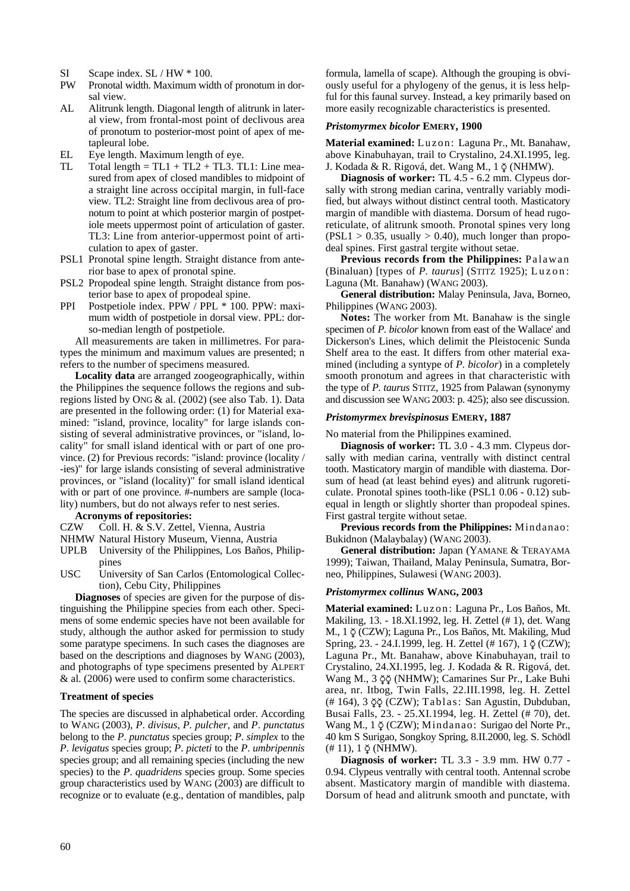- SI Scape index. SL / HW  $*$  100.
- PW Pronotal width. Maximum width of pronotum in dorsal view.
- AL Alitrunk length. Diagonal length of alitrunk in lateral view, from frontal-most point of declivous area of pronotum to posterior-most point of apex of metapleural lobe.
- EL Eye length. Maximum length of eye.
- TL Total length =  $TL1 + TL2 + TL3$ . TL1: Line measured from apex of closed mandibles to midpoint of a straight line across occipital margin, in full-face view. TL2: Straight line from declivous area of pronotum to point at which posterior margin of postpetiole meets uppermost point of articulation of gaster. TL3: Line from anterior-uppermost point of articulation to apex of gaster.
- PSL1 Pronotal spine length. Straight distance from anterior base to apex of pronotal spine.
- PSL2 Propodeal spine length. Straight distance from posterior base to apex of propodeal spine.
- PPI Postpetiole index. PPW / PPL \* 100. PPW: maximum width of postpetiole in dorsal view. PPL: dorso-median length of postpetiole.

All measurements are taken in millimetres. For paratypes the minimum and maximum values are presented; n refers to the number of specimens measured.

**Locality data** are arranged zoogeographically, within the Philippines the sequence follows the regions and subregions listed by ONG & al. (2002) (see also Tab. 1). Data are presented in the following order: (1) for Material examined: "island, province, locality" for large islands consisting of several administrative provinces, or "island, locality" for small island identical with or part of one province. (2) for Previous records: "island: province (locality / -ies)" for large islands consisting of several administrative provinces, or "island (locality)" for small island identical with or part of one province. #-numbers are sample (locality) numbers, but do not always refer to nest series.

## **Acronyms of repositories:**

- CZW Coll. H. & S.V. Zettel, Vienna, Austria
- NHMW Natural History Museum, Vienna, Austria
- UPLB University of the Philippines, Los Baños, Philippines
- USC University of San Carlos (Entomological Collection), Cebu City, Philippines

**Diagnoses** of species are given for the purpose of distinguishing the Philippine species from each other. Specimens of some endemic species have not been available for study, although the author asked for permission to study some paratype specimens. In such cases the diagnoses are based on the descriptions and diagnoses by WANG (2003), and photographs of type specimens presented by ALPERT & al. (2006) were used to confirm some characteristics.

## **Treatment of species**

The species are discussed in alphabetical order. According to WANG (2003), *P*. *divisus*, *P. pulcher*, and *P*. *punctatus*  belong to the *P*. *punctatus* species group; *P*. *simplex* to the *P*. *levigatus* species group; *P*. *picteti* to the *P*. *umbripennis*  species group; and all remaining species (including the new species) to the *P*. *quadridens* species group. Some species group characteristics used by WANG (2003) are difficult to recognize or to evaluate (e.g., dentation of mandibles, palp formula, lamella of scape). Although the grouping is obviously useful for a phylogeny of the genus, it is less helpful for this faunal survey. Instead, a key primarily based on more easily recognizable characteristics is presented.

## *Pristomyrmex bicolor* **EMERY, 1900**

**Material examined:** Luzon: Laguna Pr., Mt. Banahaw, above Kinabuhayan, trail to Crystalino, 24.XI.1995, leg. J. Kodada & R. Rigová, det. Wang M., 1 ∑ (NHMW).

**Diagnosis of worker:** TL 4.5 - 6.2 mm. Clypeus dorsally with strong median carina, ventrally variably modified, but always without distinct central tooth. Masticatory margin of mandible with diastema. Dorsum of head rugoreticulate, of alitrunk smooth. Pronotal spines very long  $(PSL1 > 0.35, usually > 0.40)$ , much longer than propodeal spines. First gastral tergite without setae.

**Previous records from the Philippines:** Palawan (Binaluan) [types of *P. taurus*] (STITZ 1925); Luzon: Laguna (Mt. Banahaw) (WANG 2003).

**General distribution:** Malay Peninsula, Java, Borneo, Philippines (WANG 2003).

**Notes:** The worker from Mt. Banahaw is the single specimen of *P. bicolor* known from east of the Wallace' and Dickerson's Lines, which delimit the Pleistocenic Sunda Shelf area to the east. It differs from other material examined (including a syntype of *P. bicolor*) in a completely smooth pronotum and agrees in that characteristic with the type of *P. taurus* STITZ, 1925 from Palawan (synonymy and discussion see WANG 2003: p. 425); also see discussion.

## *Pristomyrmex brevispinosus* **EMERY, 1887**

No material from the Philippines examined.

**Diagnosis of worker:** TL 3.0 - 4.3 mm. Clypeus dorsally with median carina, ventrally with distinct central tooth. Masticatory margin of mandible with diastema. Dorsum of head (at least behind eyes) and alitrunk rugoreticulate. Pronotal spines tooth-like (PSL1 0.06 - 0.12) subequal in length or slightly shorter than propodeal spines. First gastral tergite without setae.

**Previous records from the Philippines:** Mindanao: Bukidnon (Malaybalay) (WANG 2003).

**General distribution:** Japan (YAMANE & TERAYAMA 1999); Taiwan, Thailand, Malay Peninsula, Sumatra, Borneo, Philippines, Sulawesi (WANG 2003).

### *Pristomyrmex collinus* **WANG, 2003**

**Material examined:** Luzon: Laguna Pr., Los Baños, Mt. Makiling, 13. - 18.XI.1992, leg. H. Zettel (# 1), det. Wang M., 1  $\phi$  (CZW); Laguna Pr., Los Baños, Mt. Makiling, Mud Spring, 23. - 24.I.1999, leg. H. Zettel (# 167), 1 ŏ (CZW); Laguna Pr., Mt. Banahaw, above Kinabuhayan, trail to Crystalino, 24.XI.1995, leg. J. Kodada & R. Rigová, det. Wang M., 3 ∑∑ (NHMW); Camarines Sur Pr., Lake Buhi area, nr. Itbog, Twin Falls, 22.III.1998, leg. H. Zettel (# 164), 3 ∑∑ (CZW); Tablas: San Agustin, Dubduban, Busai Falls, 23. - 25.XI.1994, leg. H. Zettel (# 70), det. Wang M., 1  $\phi$  (CZW); Mindanao: Surigao del Norte Pr., 40 km S Surigao, Songkoy Spring, 8.II.2000, leg. S. Schödl  $(# 11)$ , 1  $\delta$  (NHMW).

**Diagnosis of worker:** TL 3.3 - 3.9 mm. HW 0.77 - 0.94. Clypeus ventrally with central tooth. Antennal scrobe absent. Masticatory margin of mandible with diastema. Dorsum of head and alitrunk smooth and punctate, with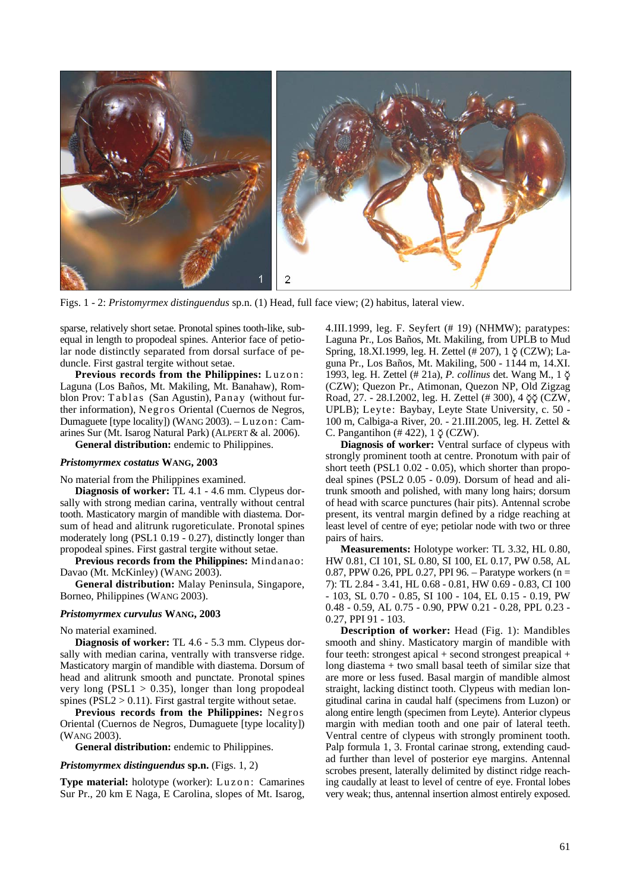

Figs. 1 - 2: *Pristomyrmex distinguendus* sp.n. (1) Head, full face view; (2) habitus, lateral view.

sparse, relatively short setae. Pronotal spines tooth-like, subequal in length to propodeal spines. Anterior face of petiolar node distinctly separated from dorsal surface of peduncle. First gastral tergite without setae.

**Previous records from the Philippines:** Luzon: Laguna (Los Baños, Mt. Makiling, Mt. Banahaw), Romblon Prov: Tablas (San Agustin), Panay (without further information), Negros Oriental (Cuernos de Negros, Dumaguete [type locality]) (WANG 2003). – Luzon: Camarines Sur (Mt. Isarog Natural Park) (ALPERT & al. 2006).

**General distribution:** endemic to Philippines.

## *Pristomyrmex costatus* **WANG, 2003**

No material from the Philippines examined.

**Diagnosis of worker:** TL 4.1 - 4.6 mm. Clypeus dorsally with strong median carina, ventrally without central tooth. Masticatory margin of mandible with diastema. Dorsum of head and alitrunk rugoreticulate. Pronotal spines moderately long (PSL1 0.19 - 0.27), distinctly longer than propodeal spines. First gastral tergite without setae.

**Previous records from the Philippines:** Mindanao: Davao (Mt. McKinley) (WANG 2003).

**General distribution:** Malay Peninsula, Singapore, Borneo, Philippines (WANG 2003).

#### *Pristomyrmex curvulus* **WANG, 2003**

No material examined.

**Diagnosis of worker:** TL 4.6 - 5.3 mm. Clypeus dorsally with median carina, ventrally with transverse ridge. Masticatory margin of mandible with diastema. Dorsum of head and alitrunk smooth and punctate. Pronotal spines very long (PSL1  $> 0.35$ ), longer than long propodeal spines ( $PSL2 > 0.11$ ). First gastral tergite without setae.

**Previous records from the Philippines:** Negros Oriental (Cuernos de Negros, Dumaguete [type locality]) (WANG 2003).

**General distribution:** endemic to Philippines.

#### *Pristomyrmex distinguendus* **sp.n.** (Figs. 1, 2)

**Type material:** holotype (worker): Luzon: Camarines Sur Pr., 20 km E Naga, E Carolina, slopes of Mt. Isarog,

4.III.1999, leg. F. Seyfert (# 19) (NHMW); paratypes: Laguna Pr., Los Baños, Mt. Makiling, from UPLB to Mud Spring, 18.XI.1999, leg. H. Zettel (# 207), 1 ∑ (CZW); Laguna Pr., Los Baños, Mt. Makiling, 500 - 1144 m, 14.XI. 1993, leg. H. Zettel (# 21a), *P. collinus* det. Wang M., 1 ∑ (CZW); Quezon Pr., Atimonan, Quezon NP, Old Zigzag Road, 27. - 28.I.2002, leg. H. Zettel (# 300), 4 ∑∑ (CZW, UPLB); Leyte: Baybay, Leyte State University, c. 50 - 100 m, Calbiga-a River, 20. - 21.III.2005, leg. H. Zettel & C. Pangantihon  $(\# 422)$ , 1 $\circ$  (CZW).

**Diagnosis of worker:** Ventral surface of clypeus with strongly prominent tooth at centre. Pronotum with pair of short teeth (PSL1 0.02 - 0.05), which shorter than propodeal spines (PSL2 0.05 - 0.09). Dorsum of head and alitrunk smooth and polished, with many long hairs; dorsum of head with scarce punctures (hair pits). Antennal scrobe present, its ventral margin defined by a ridge reaching at least level of centre of eye; petiolar node with two or three pairs of hairs.

**Measurements:** Holotype worker: TL 3.32, HL 0.80, HW 0.81, CI 101, SL 0.80, SI 100, EL 0.17, PW 0.58, AL 0.87, PPW 0.26, PPL 0.27, PPI 96. – Paratype workers (n = 7): TL 2.84 - 3.41, HL 0.68 - 0.81, HW 0.69 - 0.83, CI 100 - 103, SL 0.70 - 0.85, SI 100 - 104, EL 0.15 - 0.19, PW 0.48 - 0.59, AL 0.75 - 0.90, PPW 0.21 - 0.28, PPL 0.23 - 0.27, PPI 91 - 103.

**Description of worker:** Head (Fig. 1): Mandibles smooth and shiny. Masticatory margin of mandible with four teeth: strongest apical + second strongest preapical + long diastema + two small basal teeth of similar size that are more or less fused. Basal margin of mandible almost straight, lacking distinct tooth. Clypeus with median longitudinal carina in caudal half (specimens from Luzon) or along entire length (specimen from Leyte). Anterior clypeus margin with median tooth and one pair of lateral teeth. Ventral centre of clypeus with strongly prominent tooth. Palp formula 1, 3. Frontal carinae strong, extending caudad further than level of posterior eye margins. Antennal scrobes present, laterally delimited by distinct ridge reaching caudally at least to level of centre of eye. Frontal lobes very weak; thus, antennal insertion almost entirely exposed.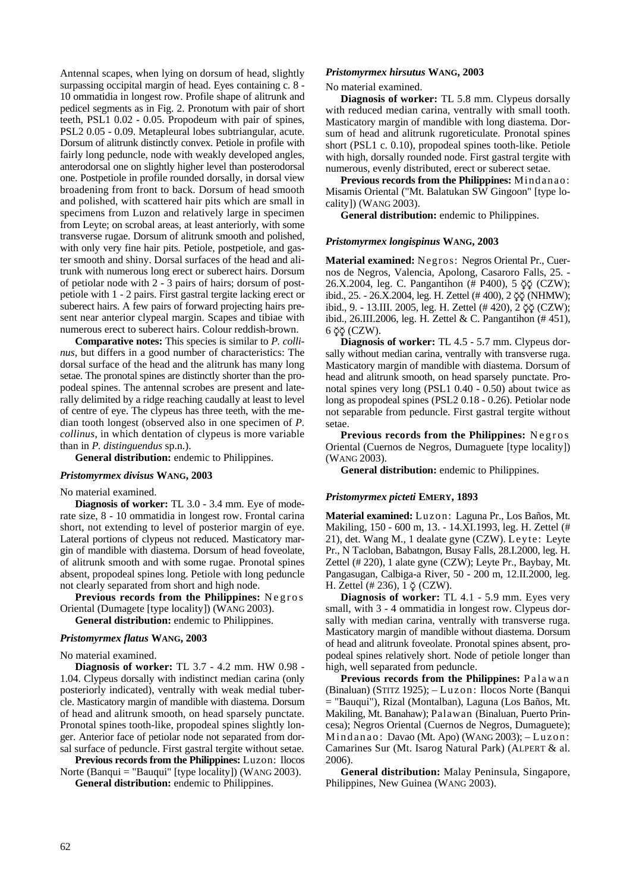Antennal scapes, when lying on dorsum of head, slightly surpassing occipital margin of head. Eyes containing c. 8 - 10 ommatidia in longest row. Profile shape of alitrunk and pedicel segments as in Fig. 2. Pronotum with pair of short teeth, PSL1 0.02 - 0.05. Propodeum with pair of spines, PSL2 0.05 - 0.09. Metapleural lobes subtriangular, acute. Dorsum of alitrunk distinctly convex. Petiole in profile with fairly long peduncle, node with weakly developed angles, anterodorsal one on slightly higher level than posterodorsal one. Postpetiole in profile rounded dorsally, in dorsal view broadening from front to back. Dorsum of head smooth and polished, with scattered hair pits which are small in specimens from Luzon and relatively large in specimen from Leyte; on scrobal areas, at least anteriorly, with some transverse rugae. Dorsum of alitrunk smooth and polished, with only very fine hair pits. Petiole, postpetiole, and gaster smooth and shiny. Dorsal surfaces of the head and alitrunk with numerous long erect or suberect hairs. Dorsum of petiolar node with 2 - 3 pairs of hairs; dorsum of postpetiole with 1 - 2 pairs. First gastral tergite lacking erect or suberect hairs. A few pairs of forward projecting hairs present near anterior clypeal margin. Scapes and tibiae with numerous erect to suberect hairs. Colour reddish-brown.

**Comparative notes:** This species is similar to *P. collinus*, but differs in a good number of characteristics: The dorsal surface of the head and the alitrunk has many long setae. The pronotal spines are distinctly shorter than the propodeal spines. The antennal scrobes are present and laterally delimited by a ridge reaching caudally at least to level of centre of eye. The clypeus has three teeth, with the median tooth longest (observed also in one specimen of *P. collinus*, in which dentation of clypeus is more variable than in *P. distinguendus* sp.n.).

**General distribution:** endemic to Philippines.

## *Pristomyrmex divisus* **WANG, 2003**

No material examined.

**Diagnosis of worker:** TL 3.0 - 3.4 mm. Eye of moderate size, 8 - 10 ommatidia in longest row. Frontal carina short, not extending to level of posterior margin of eye. Lateral portions of clypeus not reduced. Masticatory margin of mandible with diastema. Dorsum of head foveolate, of alitrunk smooth and with some rugae. Pronotal spines absent, propodeal spines long. Petiole with long peduncle not clearly separated from short and high node.

**Previous records from the Philippines:** Negros Oriental (Dumagete [type locality]) (WANG 2003).

**General distribution:** endemic to Philippines.

### *Pristomyrmex flatus* **WANG, 2003**

No material examined.

**Diagnosis of worker:** TL 3.7 - 4.2 mm. HW 0.98 - 1.04. Clypeus dorsally with indistinct median carina (only posteriorly indicated), ventrally with weak medial tubercle. Masticatory margin of mandible with diastema. Dorsum of head and alitrunk smooth, on head sparsely punctate. Pronotal spines tooth-like, propodeal spines slightly longer. Anterior face of petiolar node not separated from dorsal surface of peduncle. First gastral tergite without setae.

**Previous records from the Philippines:** Luzon: Ilocos Norte (Banqui = "Bauqui" [type locality]) (WANG 2003).

**General distribution:** endemic to Philippines.

#### *Pristomyrmex hirsutus* **WANG, 2003**

## No material examined.

**Diagnosis of worker:** TL 5.8 mm. Clypeus dorsally with reduced median carina, ventrally with small tooth. Masticatory margin of mandible with long diastema. Dorsum of head and alitrunk rugoreticulate. Pronotal spines short (PSL1 c. 0.10), propodeal spines tooth-like. Petiole with high, dorsally rounded node. First gastral tergite with numerous, evenly distributed, erect or suberect setae.

**Previous records from the Philippines:** Mindanao: Misamis Oriental ("Mt. Balatukan SW Gingoon" [type locality]) (WANG 2003).

**General distribution:** endemic to Philippines.

## *Pristomyrmex longispinus* **WANG, 2003**

**Material examined:** Negros: Negros Oriental Pr., Cuernos de Negros, Valencia, Apolong, Casaroro Falls, 25. - 26.X.2004, leg. C. Pangantihon (# P400), 5  $\breve{\varphi}$  (CZW); ibid., 25. - 26.X.2004, leg. H. Zettel (# 400), 2 ∑∑ (NHMW); ibid., 9. - 13.III. 2005, leg. H. Zettel (# 420), 2 ∑∑ (CZW); ibid., 26.III.2006, leg. H. Zettel & C. Pangantihon (# 451),  $6 \, \breve{\varphi}$  (CZW).

**Diagnosis of worker:** TL 4.5 - 5.7 mm. Clypeus dorsally without median carina, ventrally with transverse ruga. Masticatory margin of mandible with diastema. Dorsum of head and alitrunk smooth, on head sparsely punctate. Pronotal spines very long (PSL1 0.40 - 0.50) about twice as long as propodeal spines (PSL2 0.18 - 0.26). Petiolar node not separable from peduncle. First gastral tergite without setae.

**Previous records from the Philippines:** Negros Oriental (Cuernos de Negros, Dumaguete [type locality]) (WANG 2003).

**General distribution:** endemic to Philippines.

## *Pristomyrmex picteti* **EMERY, 1893**

**Material examined:** Luzon: Laguna Pr., Los Baños, Mt. Makiling, 150 - 600 m, 13. - 14.XI.1993, leg. H. Zettel (# 21), det. Wang M., 1 dealate gyne (CZW). Leyte: Leyte Pr., N Tacloban, Babatngon, Busay Falls, 28.I.2000, leg. H. Zettel (# 220), 1 alate gyne (CZW); Leyte Pr., Baybay, Mt. Pangasugan, Calbiga-a River, 50 - 200 m, 12.II.2000, leg. H. Zettel (# 236), 1  $\breve{\varphi}$  (CZW).

**Diagnosis of worker:** TL 4.1 - 5.9 mm. Eyes very small, with 3 - 4 ommatidia in longest row. Clypeus dorsally with median carina, ventrally with transverse ruga. Masticatory margin of mandible without diastema. Dorsum of head and alitrunk foveolate. Pronotal spines absent, propodeal spines relatively short. Node of petiole longer than high, well separated from peduncle.

**Previous records from the Philippines:** Palawan (Binaluan) (STITZ 1925); – Luzon: Ilocos Norte (Banqui = "Bauqui"), Rizal (Montalban), Laguna (Los Baños, Mt. Makiling, Mt. Banahaw); Palawan (Binaluan, Puerto Princesa); Negros Oriental (Cuernos de Negros, Dumaguete); Mindanao: Davao (Mt. Apo) (WANG 2003); – Luzon: Camarines Sur (Mt. Isarog Natural Park) (ALPERT & al. 2006).

**General distribution:** Malay Peninsula, Singapore, Philippines, New Guinea (WANG 2003).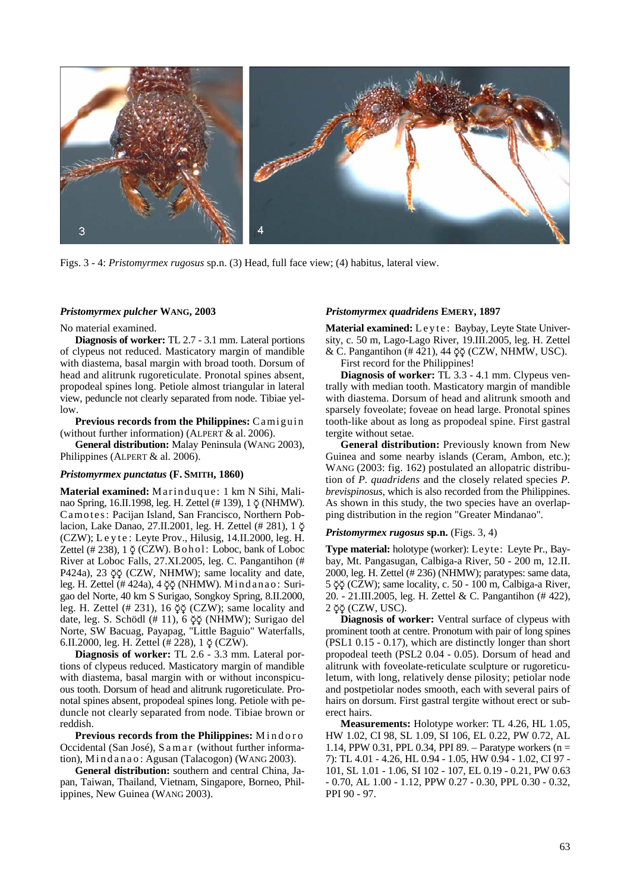

Figs. 3 - 4: *Pristomyrmex rugosus* sp.n. (3) Head, full face view; (4) habitus, lateral view.

### *Pristomyrmex pulcher* **WANG, 2003**

#### No material examined.

**Diagnosis of worker:** TL 2.7 - 3.1 mm. Lateral portions of clypeus not reduced. Masticatory margin of mandible with diastema, basal margin with broad tooth. Dorsum of head and alitrunk rugoreticulate. Pronotal spines absent, propodeal spines long. Petiole almost triangular in lateral view, peduncle not clearly separated from node. Tibiae yellow.

**Previous records from the Philippines:** Camiguin (without further information) (ALPERT & al. 2006).

**General distribution:** Malay Peninsula (WANG 2003), Philippines (ALPERT & al. 2006).

#### *Pristomyrmex punctatus* **(F. SMITH, 1860)**

**Material examined:** Marinduque: 1 km N Sihi, Malinao Spring, 16.II.1998, leg. H. Zettel (# 139), 1 ∑ (NHMW). Camotes: Pacijan Island, San Francisco, Northern Poblacion, Lake Danao, 27.II.2001, leg. H. Zettel (# 281), 1 ∑ (CZW); L e y t e : Leyte Prov., Hilusig, 14.II.2000, leg. H. Zettel (# 238), 1 ∑ (CZW). Bohol: Loboc, bank of Loboc River at Loboc Falls, 27.XI.2005, leg. C. Pangantihon (# P424a), 23 ŏŏ (CZW, NHMW); same locality and date, leg. H. Zettel (# 424a), 4 ∑∑ (NHMW). Mindanao: Surigao del Norte, 40 km S Surigao, Songkoy Spring, 8.II.2000, leg. H. Zettel (# 231), 16 ∑∑ (CZW); same locality and date, leg. S. Schödl (# 11), 6 ∑∑ (NHMW); Surigao del Norte, SW Bacuag, Payapag, "Little Baguio" Waterfalls, 6.II.2000, leg. H. Zettel (# 228), 1  $\circ$  (CZW).

**Diagnosis of worker:** TL 2.6 - 3.3 mm. Lateral portions of clypeus reduced. Masticatory margin of mandible with diastema, basal margin with or without inconspicuous tooth. Dorsum of head and alitrunk rugoreticulate. Pronotal spines absent, propodeal spines long. Petiole with peduncle not clearly separated from node. Tibiae brown or reddish.

**Previous records from the Philippines:** Mindoro Occidental (San José), S a m a r (without further information), M i n d a n a o : Agusan (Talacogon) (WANG 2003).

**General distribution:** southern and central China, Japan, Taiwan, Thailand, Vietnam, Singapore, Borneo, Philippines, New Guinea (WANG 2003).

## *Pristomyrmex quadridens* **EMERY, 1897**

Material examined: Leyte: Baybay, Leyte State University, c. 50 m, Lago-Lago River, 19.III.2005, leg. H. Zettel & C. Pangantihon (# 421), 44 ∑∑ (CZW, NHMW, USC).

First record for the Philippines!

**Diagnosis of worker:** TL 3.3 - 4.1 mm. Clypeus ventrally with median tooth. Masticatory margin of mandible with diastema. Dorsum of head and alitrunk smooth and sparsely foveolate; foveae on head large. Pronotal spines tooth-like about as long as propodeal spine. First gastral tergite without setae.

**General distribution:** Previously known from New Guinea and some nearby islands (Ceram, Ambon, etc.); WANG (2003: fig. 162) postulated an allopatric distribution of *P. quadridens* and the closely related species *P. brevispinosus*, which is also recorded from the Philippines. As shown in this study, the two species have an overlapping distribution in the region "Greater Mindanao".

#### *Pristomyrmex rugosus* **sp.n.** (Figs. 3, 4)

**Type material:** holotype (worker): Leyte: Leyte Pr., Baybay, Mt. Pangasugan, Calbiga-a River, 50 - 200 m, 12.II. 2000, leg. H. Zettel (# 236) (NHMW); paratypes: same data, 5 ∑∑ (CZW); same locality, c. 50 - 100 m, Calbiga-a River, 20. - 21.III.2005, leg. H. Zettel & C. Pangantihon (# 422), 2 ∑∑ (CZW, USC).

**Diagnosis of worker:** Ventral surface of clypeus with prominent tooth at centre. Pronotum with pair of long spines (PSL1 0.15 - 0.17), which are distinctly longer than short propodeal teeth (PSL2 0.04 - 0.05). Dorsum of head and alitrunk with foveolate-reticulate sculpture or rugoreticuletum, with long, relatively dense pilosity; petiolar node and postpetiolar nodes smooth, each with several pairs of hairs on dorsum. First gastral tergite without erect or suberect hairs.

**Measurements:** Holotype worker: TL 4.26, HL 1.05, HW 1.02, CI 98, SL 1.09, SI 106, EL 0.22, PW 0.72, AL 1.14, PPW 0.31, PPL 0.34, PPI 89. – Paratype workers (n = 7): TL 4.01 - 4.26, HL 0.94 - 1.05, HW 0.94 - 1.02, CI 97 - 101, SL 1.01 - 1.06, SI 102 - 107, EL 0.19 - 0.21, PW 0.63 - 0.70, AL 1.00 - 1.12, PPW 0.27 - 0.30, PPL 0.30 - 0.32, PPI 90 - 97.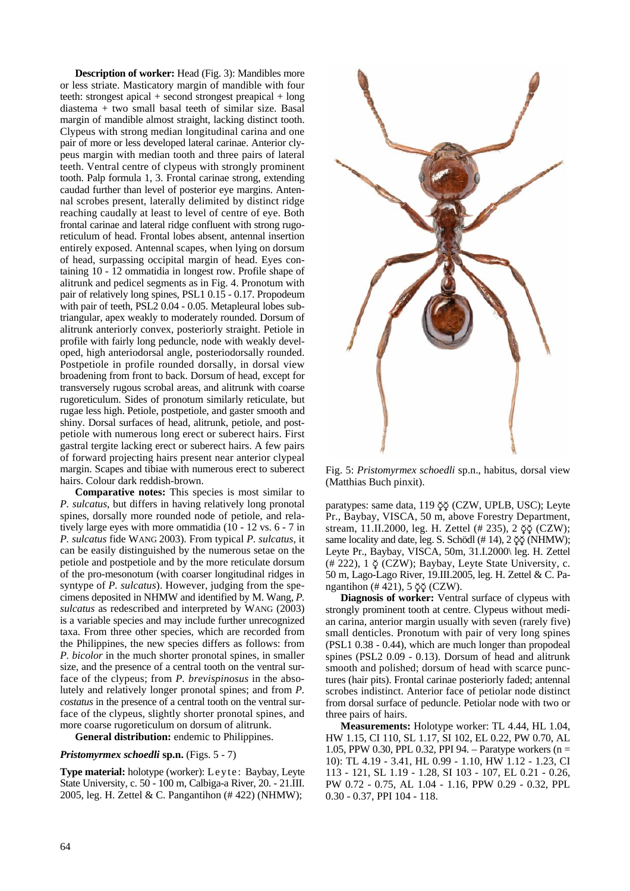**Description of worker:** Head (Fig. 3): Mandibles more or less striate. Masticatory margin of mandible with four teeth: strongest apical + second strongest preapical + long diastema + two small basal teeth of similar size. Basal margin of mandible almost straight, lacking distinct tooth. Clypeus with strong median longitudinal carina and one pair of more or less developed lateral carinae. Anterior clypeus margin with median tooth and three pairs of lateral teeth. Ventral centre of clypeus with strongly prominent tooth. Palp formula 1, 3. Frontal carinae strong, extending caudad further than level of posterior eye margins. Antennal scrobes present, laterally delimited by distinct ridge reaching caudally at least to level of centre of eye. Both frontal carinae and lateral ridge confluent with strong rugoreticulum of head. Frontal lobes absent, antennal insertion entirely exposed. Antennal scapes, when lying on dorsum of head, surpassing occipital margin of head. Eyes containing 10 - 12 ommatidia in longest row. Profile shape of alitrunk and pedicel segments as in Fig. 4. Pronotum with pair of relatively long spines, PSL1 0.15 - 0.17. Propodeum with pair of teeth, PSL2 0.04 - 0.05. Metapleural lobes subtriangular, apex weakly to moderately rounded. Dorsum of alitrunk anteriorly convex, posteriorly straight. Petiole in profile with fairly long peduncle, node with weakly developed, high anteriodorsal angle, posteriodorsally rounded. Postpetiole in profile rounded dorsally, in dorsal view broadening from front to back. Dorsum of head, except for transversely rugous scrobal areas, and alitrunk with coarse rugoreticulum. Sides of pronotum similarly reticulate, but rugae less high. Petiole, postpetiole, and gaster smooth and shiny. Dorsal surfaces of head, alitrunk, petiole, and postpetiole with numerous long erect or suberect hairs. First gastral tergite lacking erect or suberect hairs. A few pairs of forward projecting hairs present near anterior clypeal margin. Scapes and tibiae with numerous erect to suberect hairs. Colour dark reddish-brown.

**Comparative notes:** This species is most similar to *P. sulcatus*, but differs in having relatively long pronotal spines, dorsally more rounded node of petiole, and relatively large eyes with more ommatidia (10 - 12 vs. 6 - 7 in *P. sulcatus* fide WANG 2003). From typical *P. sulcatus*, it can be easily distinguished by the numerous setae on the petiole and postpetiole and by the more reticulate dorsum of the pro-mesonotum (with coarser longitudinal ridges in syntype of *P. sulcatus*). However, judging from the specimens deposited in NHMW and identified by M. Wang, *P. sulcatus* as redescribed and interpreted by WANG (2003) is a variable species and may include further unrecognized taxa. From three other species, which are recorded from the Philippines, the new species differs as follows: from *P. bicolor* in the much shorter pronotal spines, in smaller size, and the presence of a central tooth on the ventral surface of the clypeus; from *P. brevispinosus* in the absolutely and relatively longer pronotal spines; and from *P. costatus* in the presence of a central tooth on the ventral surface of the clypeus, slightly shorter pronotal spines, and more coarse rugoreticulum on dorsum of alitrunk.

**General distribution:** endemic to Philippines.

## *Pristomyrmex schoedli* **sp.n.** (Figs. 5 - 7)

**Type material:** holotype (worker): Leyte : Baybay, Leyte State University, c. 50 - 100 m, Calbiga-a River, 20. - 21.III. 2005, leg. H. Zettel & C. Pangantihon (# 422) (NHMW);



Fig. 5: *Pristomyrmex schoedli* sp.n., habitus, dorsal view (Matthias Buch pinxit).

paratypes: same data, 119 ∑∑ (CZW, UPLB, USC); Leyte Pr., Baybay, VISCA, 50 m, above Forestry Department, stream, 11.II.2000, leg. H. Zettel (# 235), 2  $\check{\varphi}$  (CZW); same locality and date, leg. S. Schödl (# 14), 2  $\breve{\varphi}$  (NHMW); Leyte Pr., Baybay, VISCA, 50m, 31.I.2000\ leg. H. Zettel  $(4222)$ , 1  $\circ$  (CZW); Baybay, Leyte State University, c. 50 m, Lago-Lago River, 19.III.2005, leg. H. Zettel & C. Pangantihon (# 421), 5 ∑∑ (CZW).

**Diagnosis of worker:** Ventral surface of clypeus with strongly prominent tooth at centre. Clypeus without median carina, anterior margin usually with seven (rarely five) small denticles. Pronotum with pair of very long spines (PSL1 0.38 - 0.44), which are much longer than propodeal spines (PSL2 0.09 - 0.13). Dorsum of head and alitrunk smooth and polished; dorsum of head with scarce punctures (hair pits). Frontal carinae posteriorly faded; antennal scrobes indistinct. Anterior face of petiolar node distinct from dorsal surface of peduncle. Petiolar node with two or three pairs of hairs.

**Measurements:** Holotype worker: TL 4.44, HL 1.04, HW 1.15, CI 110, SL 1.17, SI 102, EL 0.22, PW 0.70, AL 1.05, PPW 0.30, PPL 0.32, PPI 94. – Paratype workers (n = 10): TL 4.19 - 3.41, HL 0.99 - 1.10, HW 1.12 - 1.23, CI 113 - 121, SL 1.19 - 1.28, SI 103 - 107, EL 0.21 - 0.26, PW 0.72 - 0.75, AL 1.04 - 1.16, PPW 0.29 - 0.32, PPL 0.30 - 0.37, PPI 104 - 118.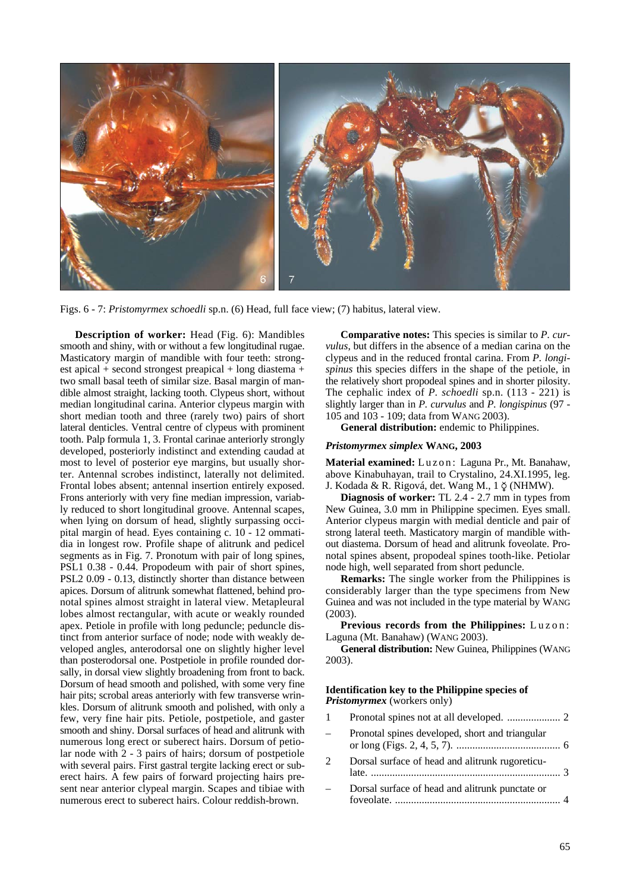

Figs. 6 - 7: *Pristomyrmex schoedli* sp.n. (6) Head, full face view; (7) habitus, lateral view.

**Description of worker:** Head (Fig. 6): Mandibles smooth and shiny, with or without a few longitudinal rugae. Masticatory margin of mandible with four teeth: strongest apical + second strongest preapical + long diastema + two small basal teeth of similar size. Basal margin of mandible almost straight, lacking tooth. Clypeus short, without median longitudinal carina. Anterior clypeus margin with short median tooth and three (rarely two) pairs of short lateral denticles. Ventral centre of clypeus with prominent tooth. Palp formula 1, 3. Frontal carinae anteriorly strongly developed, posteriorly indistinct and extending caudad at most to level of posterior eye margins, but usually shorter. Antennal scrobes indistinct, laterally not delimited. Frontal lobes absent; antennal insertion entirely exposed. Frons anteriorly with very fine median impression, variably reduced to short longitudinal groove. Antennal scapes, when lying on dorsum of head, slightly surpassing occipital margin of head. Eyes containing c. 10 - 12 ommatidia in longest row. Profile shape of alitrunk and pedicel segments as in Fig. 7. Pronotum with pair of long spines, PSL1 0.38 - 0.44. Propodeum with pair of short spines, PSL2 0.09 - 0.13, distinctly shorter than distance between apices. Dorsum of alitrunk somewhat flattened, behind pronotal spines almost straight in lateral view. Metapleural lobes almost rectangular, with acute or weakly rounded apex. Petiole in profile with long peduncle; peduncle distinct from anterior surface of node; node with weakly developed angles, anterodorsal one on slightly higher level than posterodorsal one. Postpetiole in profile rounded dorsally, in dorsal view slightly broadening from front to back. Dorsum of head smooth and polished, with some very fine hair pits; scrobal areas anteriorly with few transverse wrinkles. Dorsum of alitrunk smooth and polished, with only a few, very fine hair pits. Petiole, postpetiole, and gaster smooth and shiny. Dorsal surfaces of head and alitrunk with numerous long erect or suberect hairs. Dorsum of petiolar node with 2 - 3 pairs of hairs; dorsum of postpetiole with several pairs. First gastral tergite lacking erect or suberect hairs. A few pairs of forward projecting hairs present near anterior clypeal margin. Scapes and tibiae with numerous erect to suberect hairs. Colour reddish-brown.

**Comparative notes:** This species is similar to *P. curvulus*, but differs in the absence of a median carina on the clypeus and in the reduced frontal carina. From *P. longispinus* this species differs in the shape of the petiole, in the relatively short propodeal spines and in shorter pilosity. The cephalic index of *P. schoedli* sp.n. (113 - 221) is slightly larger than in *P. curvulus* and *P. longispinus* (97 - 105 and 103 - 109; data from WANG 2003).

**General distribution:** endemic to Philippines.

## *Pristomyrmex simplex* **WANG, 2003**

Material examined: Luzon: Laguna Pr., Mt. Banahaw, above Kinabuhayan, trail to Crystalino, 24.XI.1995, leg. J. Kodada & R. Rigová, det. Wang M., 1 ∑ (NHMW).

**Diagnosis of worker:** TL 2.4 - 2.7 mm in types from New Guinea, 3.0 mm in Philippine specimen. Eyes small. Anterior clypeus margin with medial denticle and pair of strong lateral teeth. Masticatory margin of mandible without diastema. Dorsum of head and alitrunk foveolate. Pronotal spines absent, propodeal spines tooth-like. Petiolar node high, well separated from short peduncle.

**Remarks:** The single worker from the Philippines is considerably larger than the type specimens from New Guinea and was not included in the type material by WANG (2003).

**Previous records from the Philippines:** Luzon: Laguna (Mt. Banahaw) (WANG 2003).

**General distribution:** New Guinea, Philippines (WANG 2003).

## **Identification key to the Philippine species of**  *Pristomyrmex* (workers only)

1 Pronotal spines not at all developed. .................... 2 – Pronotal spines developed, short and triangular or long (Figs. 2, 4, 5, 7). ....................................... 6 2 Dorsal surface of head and alitrunk rugoreticulate. ....................................................................... 3 – Dorsal surface of head and alitrunk punctate or foveolate. .............................................................. 4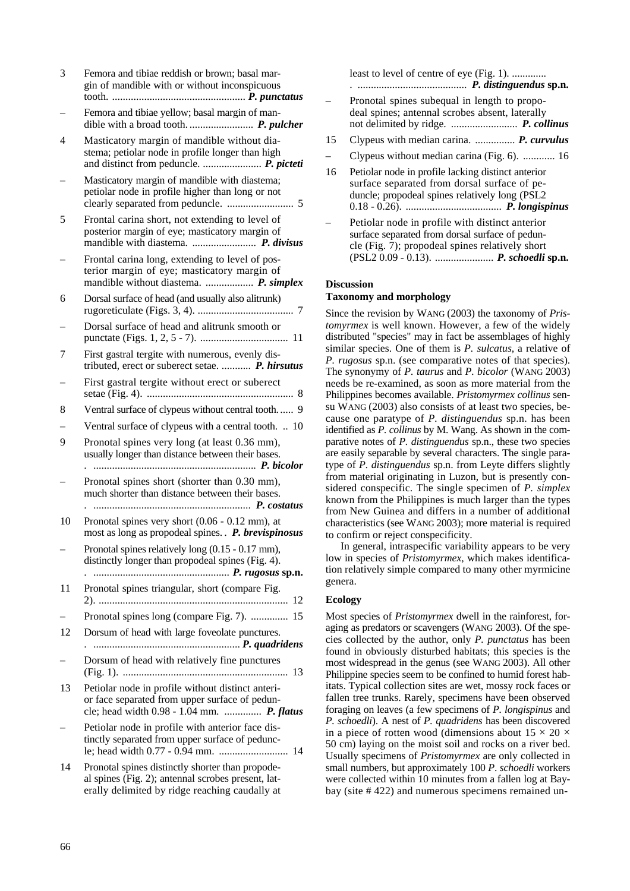| 3  | Femora and tibiae reddish or brown; basal mar-<br>gin of mandible with or without inconspicuous                                                          |
|----|----------------------------------------------------------------------------------------------------------------------------------------------------------|
|    | Femora and tibiae yellow; basal margin of man-                                                                                                           |
| 4  | Masticatory margin of mandible without dia-<br>stema; petiolar node in profile longer than high<br>and distinct from peduncle.  P. picteti               |
|    | Masticatory margin of mandible with diastema;<br>petiolar node in profile higher than long or not                                                        |
| 5  | Frontal carina short, not extending to level of<br>posterior margin of eye; masticatory margin of                                                        |
|    | Frontal carina long, extending to level of pos-<br>terior margin of eye; masticatory margin of<br>mandible without diastema.  P. simplex                 |
| 6  | Dorsal surface of head (and usually also alitrunk)                                                                                                       |
|    | Dorsal surface of head and alitrunk smooth or                                                                                                            |
| 7  | First gastral tergite with numerous, evenly dis-<br>tributed, erect or suberect setae.  P. hirsutus                                                      |
|    | First gastral tergite without erect or suberect                                                                                                          |
| 8  | Ventral surface of clypeus without central tooth 9                                                                                                       |
|    | Ventral surface of clypeus with a central tooth.  10                                                                                                     |
| 9  | Pronotal spines very long (at least 0.36 mm),<br>usually longer than distance between their bases.                                                       |
|    | Pronotal spines short (shorter than 0.30 mm),<br>much shorter than distance between their bases.                                                         |
| 10 | Pronotal spines very short $(0.06 - 0.12$ mm), at<br>most as long as propodeal spines. . P. brevispinosus                                                |
|    | Pronotal spines relatively long (0.15 - 0.17 mm),<br>distinctly longer than propodeal spines (Fig. 4).                                                   |
| 11 | Pronotal spines triangular, short (compare Fig.<br>12                                                                                                    |
|    | Pronotal spines long (compare Fig. 7).  15                                                                                                               |
| 12 | Dorsum of head with large foveolate punctures.                                                                                                           |
|    | Dorsum of head with relatively fine punctures                                                                                                            |
| 13 | Petiolar node in profile without distinct anteri-<br>or face separated from upper surface of pedun-<br>cle; head width 0.98 - 1.04 mm.  P. flatus        |
|    | Petiolar node in profile with anterior face dis-<br>tinctly separated from upper surface of pedunc-<br>14                                                |
| 14 | Pronotal spines distinctly shorter than propode-<br>al spines (Fig. 2); antennal scrobes present, lat-<br>erally delimited by ridge reaching caudally at |

least to level of centre of eye (Fig. 1). ............. . ......................................... *P. distinguendus* **sp.n.**

- Pronotal spines subequal in length to propodeal spines; antennal scrobes absent, laterally not delimited by ridge. ......................... *P. collinus*
- 15 Clypeus with median carina. ............... *P. curvulus*
- Clypeus without median carina (Fig. 6). ............ 16
- 16 Petiolar node in profile lacking distinct anterior surface separated from dorsal surface of peduncle; propodeal spines relatively long (PSL2 0.18 - 0.26). .................................... *P. longispinus*
- Petiolar node in profile with distinct anterior surface separated from dorsal surface of peduncle (Fig. 7); propodeal spines relatively short (PSL2 0.09 - 0.13). ...................... *P. schoedli* **sp.n.**

# **Discussion**

## **Taxonomy and morphology**

Since the revision by WANG (2003) the taxonomy of *Pristomyrmex* is well known. However, a few of the widely distributed "species" may in fact be assemblages of highly similar species. One of them is *P. sulcatus*, a relative of *P. rugosus* sp.n. (see comparative notes of that species). The synonymy of *P. taurus* and *P. bicolor* (WANG 2003) needs be re-examined, as soon as more material from the Philippines becomes available. *Pristomyrmex collinus* sensu WANG (2003) also consists of at least two species, because one paratype of *P. distinguendus* sp.n. has been identified as *P. collinus* by M. Wang. As shown in the comparative notes of *P. distinguendus* sp.n., these two species are easily separable by several characters. The single paratype of *P. distinguendus* sp.n. from Leyte differs slightly from material originating in Luzon, but is presently considered conspecific. The single specimen of *P. simplex*  known from the Philippines is much larger than the types from New Guinea and differs in a number of additional characteristics (see WANG 2003); more material is required to confirm or reject conspecificity.

In general, intraspecific variability appears to be very low in species of *Pristomyrmex*, which makes identification relatively simple compared to many other myrmicine genera.

# **Ecology**

Most species of *Pristomyrmex* dwell in the rainforest, foraging as predators or scavengers (WANG 2003). Of the species collected by the author, only *P. punctatus* has been found in obviously disturbed habitats; this species is the most widespread in the genus (see WANG 2003). All other Philippine species seem to be confined to humid forest habitats. Typical collection sites are wet, mossy rock faces or fallen tree trunks. Rarely, specimens have been observed foraging on leaves (a few specimens of *P. longispinus* and *P. schoedli*). A nest of *P. quadridens* has been discovered in a piece of rotten wood (dimensions about  $15 \times 20 \times$ 50 cm) laying on the moist soil and rocks on a river bed. Usually specimens of *Pristomyrmex* are only collected in small numbers, but approximately 100 *P*. *schoedli* workers were collected within 10 minutes from a fallen log at Baybay (site # 422) and numerous specimens remained un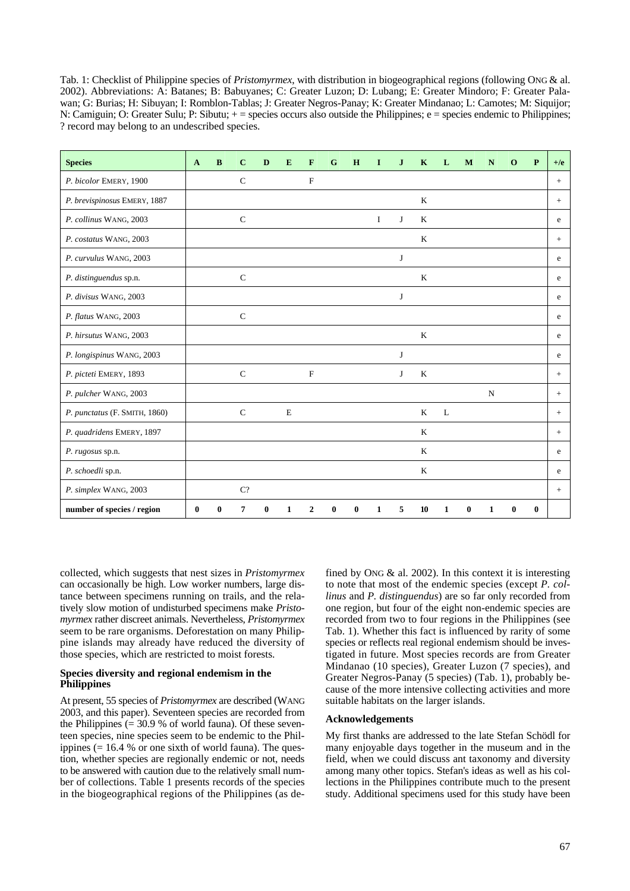Tab. 1: Checklist of Philippine species of *Pristomyrmex*, with distribution in biogeographical regions (following ONG & al. 2002). Abbreviations: A: Batanes; B: Babuyanes; C: Greater Luzon; D: Lubang; E: Greater Mindoro; F: Greater Palawan; G: Burias; H: Sibuyan; I: Romblon-Tablas; J: Greater Negros-Panay; K: Greater Mindanao; L: Camotes; M: Siquijor; N: Camiguin; O: Greater Sulu; P: Sibutu; + = species occurs also outside the Philippines; e = species endemic to Philippines; ? record may belong to an undescribed species.

| <b>Species</b>                | $\mathbf{A}$ | B | $\mathbf C$  | D | E           | F            | G | H | 1        | $\mathbf{J}$ | $\mathbf K$ | L | M | N | $\mathbf 0$ | P        | $+$ / $e$ |
|-------------------------------|--------------|---|--------------|---|-------------|--------------|---|---|----------|--------------|-------------|---|---|---|-------------|----------|-----------|
| P. bicolor EMERY, 1900        |              |   | $\mathbf C$  |   |             | $\mathbf F$  |   |   |          |              |             |   |   |   |             |          | $+$       |
| P. brevispinosus EMERY, 1887  |              |   |              |   |             |              |   |   |          |              | $\bf K$     |   |   |   |             |          | $\! +$    |
| P. collinus WANG, 2003        |              |   | $\mathsf{C}$ |   |             |              |   |   | $\bf{I}$ | J            | K           |   |   |   |             |          | e         |
| P. costatus WANG, 2003        |              |   |              |   |             |              |   |   |          |              | K           |   |   |   |             |          | $+$       |
| P. curvulus WANG, 2003        |              |   |              |   |             |              |   |   |          | J            |             |   |   |   |             |          | e         |
| P. distinguendus sp.n.        |              |   | $\mathsf{C}$ |   |             |              |   |   |          |              | K           |   |   |   |             |          | e         |
| P. divisus WANG, 2003         |              |   |              |   |             |              |   |   |          | J            |             |   |   |   |             |          | e         |
| P. flatus WANG, 2003          |              |   | $\mathsf{C}$ |   |             |              |   |   |          |              |             |   |   |   |             |          | e         |
| P. hirsutus WANG, 2003        |              |   |              |   |             |              |   |   |          |              | $\rm K$     |   |   |   |             |          | e         |
| P. longispinus WANG, 2003     |              |   |              |   |             |              |   |   |          | J            |             |   |   |   |             |          | e         |
| P. picteti EMERY, 1893        |              |   | $\mathbf C$  |   |             | $\mathbf F$  |   |   |          | J            | $\bf K$     |   |   |   |             |          | $\pm$     |
| P. pulcher WANG, 2003         |              |   |              |   |             |              |   |   |          |              |             |   |   | N |             |          | $\! +$    |
| P. punctatus (F. SMITH, 1860) |              |   | $\mathbf C$  |   | $\mathbf E$ |              |   |   |          |              | K           | L |   |   |             |          | $+$       |
| P. quadridens EMERY, 1897     |              |   |              |   |             |              |   |   |          |              | K           |   |   |   |             |          | $+$       |
| P. rugosus sp.n.              |              |   |              |   |             |              |   |   |          |              | K           |   |   |   |             |          | e         |
| P. schoedli sp.n.             |              |   |              |   |             |              |   |   |          |              | K           |   |   |   |             |          | e         |
| P. simplex WANG, 2003         |              |   | C?           |   |             |              |   |   |          |              |             |   |   |   |             |          | $+$       |
| number of species / region    | $\bf{0}$     |   | 7            | 0 | 1           | $\mathbf{2}$ | 0 | 0 | 1        | 5            | 10          | 1 | 0 |   | 0           | $\bf{0}$ |           |

collected, which suggests that nest sizes in *Pristomyrmex*  can occasionally be high. Low worker numbers, large distance between specimens running on trails, and the relatively slow motion of undisturbed specimens make *Pristomyrmex* rather discreet animals. Nevertheless, *Pristomyrmex*  seem to be rare organisms. Deforestation on many Philippine islands may already have reduced the diversity of those species, which are restricted to moist forests.

## **Species diversity and regional endemism in the Philippines**

At present, 55 species of *Pristomyrmex* are described (WANG 2003, and this paper). Seventeen species are recorded from the Philippines  $(= 30.9 %$  of world fauna). Of these seventeen species, nine species seem to be endemic to the Philippines  $(= 16.4 %$  or one sixth of world fauna). The question, whether species are regionally endemic or not, needs to be answered with caution due to the relatively small number of collections. Table 1 presents records of the species in the biogeographical regions of the Philippines (as defined by ONG  $\&$  al. 2002). In this context it is interesting to note that most of the endemic species (except *P. collinus* and *P. distinguendus*) are so far only recorded from one region, but four of the eight non-endemic species are recorded from two to four regions in the Philippines (see Tab. 1). Whether this fact is influenced by rarity of some species or reflects real regional endemism should be investigated in future. Most species records are from Greater Mindanao (10 species), Greater Luzon (7 species), and Greater Negros-Panay (5 species) (Tab. 1), probably because of the more intensive collecting activities and more suitable habitats on the larger islands.

## **Acknowledgements**

My first thanks are addressed to the late Stefan Schödl for many enjoyable days together in the museum and in the field, when we could discuss ant taxonomy and diversity among many other topics. Stefan's ideas as well as his collections in the Philippines contribute much to the present study. Additional specimens used for this study have been